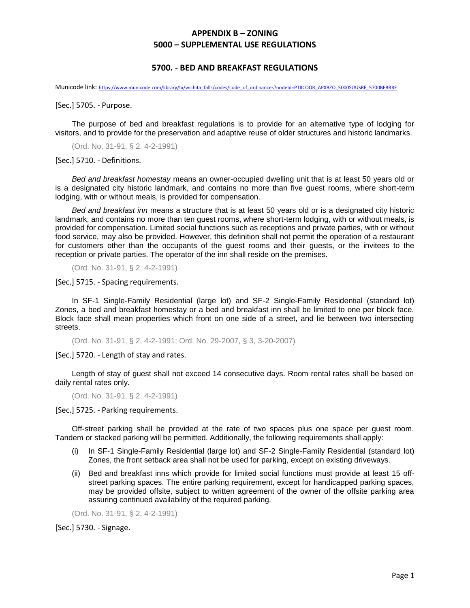## **APPENDIX B – ZONING 5000 – SUPPLEMENTAL USE REGULATIONS**

## **5700. - BED AND BREAKFAST REGULATIONS**

Municode link: [https://www.municode.com/library/tx/wichita\\_falls/codes/code\\_of\\_ordinances?nodeId=PTIICOOR\\_APXBZO\\_5000SUUSRE\\_5700BEBRRE](https://www.municode.com/library/tx/wichita_falls/codes/code_of_ordinances?nodeId=PTIICOOR_APXBZO_5000SUUSRE_5700BEBRRE)

[Sec.] 5705. - Purpose.

The purpose of bed and breakfast regulations is to provide for an alternative type of lodging for visitors, and to provide for the preservation and adaptive reuse of older structures and historic landmarks.

(Ord. No. 31-91, § 2, 4-2-1991)

[Sec.] 5710. - Definitions.

*Bed and breakfast homestay* means an owner-occupied dwelling unit that is at least 50 years old or is a designated city historic landmark, and contains no more than five guest rooms, where short-term lodging, with or without meals, is provided for compensation.

*Bed and breakfast inn* means a structure that is at least 50 years old or is a designated city historic landmark, and contains no more than ten guest rooms, where short-term lodging, with or without meals, is provided for compensation. Limited social functions such as receptions and private parties, with or without food service, may also be provided. However, this definition shall not permit the operation of a restaurant for customers other than the occupants of the guest rooms and their guests, or the invitees to the reception or private parties. The operator of the inn shall reside on the premises.

(Ord. No. 31-91, § 2, 4-2-1991)

[Sec.] 5715. - Spacing requirements.

In SF-1 Single-Family Residential (large lot) and SF-2 Single-Family Residential (standard lot) Zones, a bed and breakfast homestay or a bed and breakfast inn shall be limited to one per block face. Block face shall mean properties which front on one side of a street, and lie between two intersecting streets.

(Ord. No. 31-91, § 2, 4-2-1991; Ord. No. 29-2007, § 3, 3-20-2007)

[Sec.] 5720. - Length of stay and rates.

Length of stay of guest shall not exceed 14 consecutive days. Room rental rates shall be based on daily rental rates only.

(Ord. No. 31-91, § 2, 4-2-1991)

[Sec.] 5725. - Parking requirements.

Off-street parking shall be provided at the rate of two spaces plus one space per guest room. Tandem or stacked parking will be permitted. Additionally, the following requirements shall apply:

- (i) In SF-1 Single-Family Residential (large lot) and SF-2 Single-Family Residential (standard lot) Zones, the front setback area shall not be used for parking, except on existing driveways.
- (ii) Bed and breakfast inns which provide for limited social functions must provide at least 15 offstreet parking spaces. The entire parking requirement, except for handicapped parking spaces, may be provided offsite, subject to written agreement of the owner of the offsite parking area assuring continued availability of the required parking.

(Ord. No. 31-91, § 2, 4-2-1991)

[Sec.] 5730. - Signage.